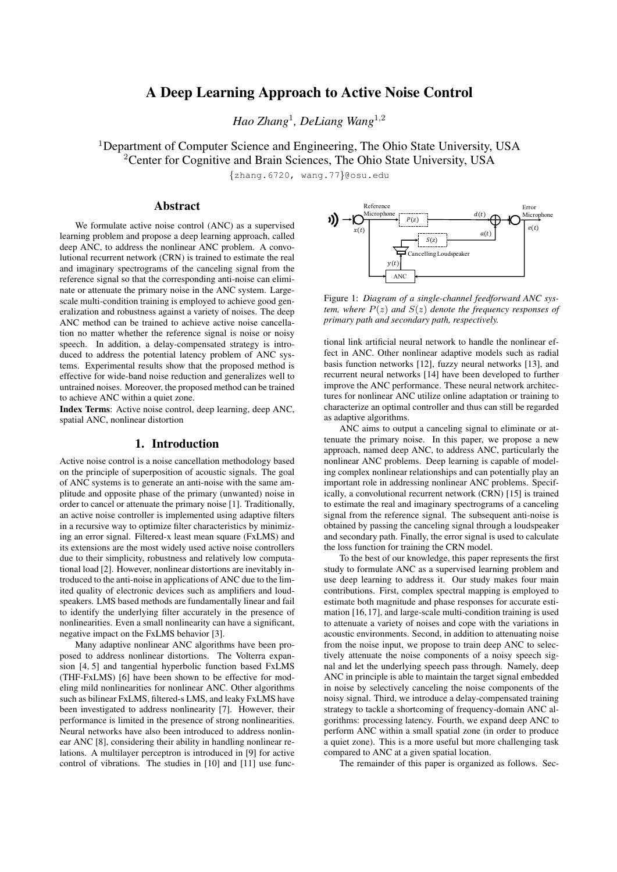# A Deep Learning Approach to Active Noise Control

*Hao Zhang*<sup>1</sup> *, DeLiang Wang*<sup>1</sup>,<sup>2</sup>

<sup>1</sup>Department of Computer Science and Engineering, The Ohio State University, USA

<sup>2</sup> Center for Cognitive and Brain Sciences, The Ohio State University, USA

{zhang.6720, wang.77}@osu.edu

### Abstract

We formulate active noise control (ANC) as a supervised learning problem and propose a deep learning approach, called deep ANC, to address the nonlinear ANC problem. A convolutional recurrent network (CRN) is trained to estimate the real and imaginary spectrograms of the canceling signal from the reference signal so that the corresponding anti-noise can eliminate or attenuate the primary noise in the ANC system. Largescale multi-condition training is employed to achieve good generalization and robustness against a variety of noises. The deep ANC method can be trained to achieve active noise cancellation no matter whether the reference signal is noise or noisy speech. In addition, a delay-compensated strategy is introduced to address the potential latency problem of ANC systems. Experimental results show that the proposed method is effective for wide-band noise reduction and generalizes well to untrained noises. Moreover, the proposed method can be trained to achieve ANC within a quiet zone.

Index Terms: Active noise control, deep learning, deep ANC, spatial ANC, nonlinear distortion

### 1. Introduction

Active noise control is a noise cancellation methodology based on the principle of superposition of acoustic signals. The goal of ANC systems is to generate an anti-noise with the same amplitude and opposite phase of the primary (unwanted) noise in order to cancel or attenuate the primary noise [1]. Traditionally, an active noise controller is implemented using adaptive filters in a recursive way to optimize filter characteristics by minimizing an error signal. Filtered-x least mean square (FxLMS) and its extensions are the most widely used active noise controllers due to their simplicity, robustness and relatively low computational load [2]. However, nonlinear distortions are inevitably introduced to the anti-noise in applications of ANC due to the limited quality of electronic devices such as amplifiers and loudspeakers. LMS based methods are fundamentally linear and fail to identify the underlying filter accurately in the presence of nonlinearities. Even a small nonlinearity can have a significant, negative impact on the FxLMS behavior [3].

Many adaptive nonlinear ANC algorithms have been proposed to address nonlinear distortions. The Volterra expansion [4, 5] and tangential hyperbolic function based FxLMS (THF-FxLMS) [6] have been shown to be effective for modeling mild nonlinearities for nonlinear ANC. Other algorithms such as bilinear FxLMS, filtered-s LMS, and leaky FxLMS have been investigated to address nonlinearity [7]. However, their performance is limited in the presence of strong nonlinearities. Neural networks have also been introduced to address nonlinear ANC [8], considering their ability in handling nonlinear relations. A multilayer perceptron is introduced in [9] for active control of vibrations. The studies in [10] and [11] use func-



Figure 1: *Diagram of a single-channel feedforward ANC system, where* P(z) *and* S(z) *denote the frequency responses of primary path and secondary path, respectively.*

tional link artificial neural network to handle the nonlinear effect in ANC. Other nonlinear adaptive models such as radial basis function networks [12], fuzzy neural networks [13], and recurrent neural networks [14] have been developed to further improve the ANC performance. These neural network architectures for nonlinear ANC utilize online adaptation or training to characterize an optimal controller and thus can still be regarded as adaptive algorithms.

ANC aims to output a canceling signal to eliminate or attenuate the primary noise. In this paper, we propose a new approach, named deep ANC, to address ANC, particularly the nonlinear ANC problems. Deep learning is capable of modeling complex nonlinear relationships and can potentially play an important role in addressing nonlinear ANC problems. Specifically, a convolutional recurrent network (CRN) [15] is trained to estimate the real and imaginary spectrograms of a canceling signal from the reference signal. The subsequent anti-noise is obtained by passing the canceling signal through a loudspeaker and secondary path. Finally, the error signal is used to calculate the loss function for training the CRN model.

To the best of our knowledge, this paper represents the first study to formulate ANC as a supervised learning problem and use deep learning to address it. Our study makes four main contributions. First, complex spectral mapping is employed to estimate both magnitude and phase responses for accurate estimation [16, 17], and large-scale multi-condition training is used to attenuate a variety of noises and cope with the variations in acoustic environments. Second, in addition to attenuating noise from the noise input, we propose to train deep ANC to selectively attenuate the noise components of a noisy speech signal and let the underlying speech pass through. Namely, deep ANC in principle is able to maintain the target signal embedded in noise by selectively canceling the noise components of the noisy signal. Third, we introduce a delay-compensated training strategy to tackle a shortcoming of frequency-domain ANC algorithms: processing latency. Fourth, we expand deep ANC to perform ANC within a small spatial zone (in order to produce a quiet zone). This is a more useful but more challenging task compared to ANC at a given spatial location.

The remainder of this paper is organized as follows. Sec-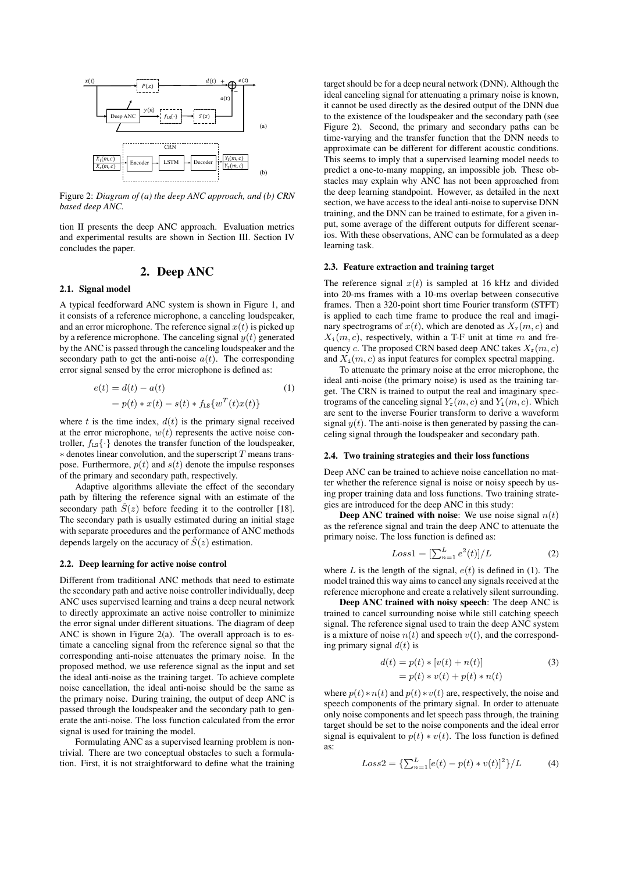

Figure 2: *Diagram of (a) the deep ANC approach, and (b) CRN based deep ANC.*

tion II presents the deep ANC approach. Evaluation metrics and experimental results are shown in Section III. Section IV concludes the paper.

# 2. Deep ANC

### 2.1. Signal model

A typical feedforward ANC system is shown in Figure 1, and it consists of a reference microphone, a canceling loudspeaker, and an error microphone. The reference signal  $x(t)$  is picked up by a reference microphone. The canceling signal  $y(t)$  generated by the ANC is passed through the canceling loudspeaker and the secondary path to get the anti-noise  $a(t)$ . The corresponding error signal sensed by the error microphone is defined as:

$$
e(t) = d(t) - a(t)
$$
  
=  $p(t) * x(t) - s(t) * f_{LS}\{w^T(t)x(t)\}\$  (1)

where  $t$  is the time index,  $d(t)$  is the primary signal received at the error microphone,  $w(t)$  represents the active noise controller,  $f_{LS}$   $\{\cdot\}$  denotes the transfer function of the loudspeaker,  $*$  denotes linear convolution, and the superscript  $T$  means transpose. Furthermore,  $p(t)$  and  $s(t)$  denote the impulse responses of the primary and secondary path, respectively.

Adaptive algorithms alleviate the effect of the secondary path by filtering the reference signal with an estimate of the secondary path  $\hat{S}(z)$  before feeding it to the controller [18]. The secondary path is usually estimated during an initial stage with separate procedures and the performance of ANC methods depends largely on the accuracy of  $\hat{S}(z)$  estimation.

#### 2.2. Deep learning for active noise control

Different from traditional ANC methods that need to estimate the secondary path and active noise controller individually, deep ANC uses supervised learning and trains a deep neural network to directly approximate an active noise controller to minimize the error signal under different situations. The diagram of deep ANC is shown in Figure 2(a). The overall approach is to estimate a canceling signal from the reference signal so that the corresponding anti-noise attenuates the primary noise. In the proposed method, we use reference signal as the input and set the ideal anti-noise as the training target. To achieve complete noise cancellation, the ideal anti-noise should be the same as the primary noise. During training, the output of deep ANC is passed through the loudspeaker and the secondary path to generate the anti-noise. The loss function calculated from the error signal is used for training the model.

Formulating ANC as a supervised learning problem is nontrivial. There are two conceptual obstacles to such a formulation. First, it is not straightforward to define what the training target should be for a deep neural network (DNN). Although the ideal canceling signal for attenuating a primary noise is known, it cannot be used directly as the desired output of the DNN due to the existence of the loudspeaker and the secondary path (see Figure 2). Second, the primary and secondary paths can be time-varying and the transfer function that the DNN needs to approximate can be different for different acoustic conditions. This seems to imply that a supervised learning model needs to predict a one-to-many mapping, an impossible job. These obstacles may explain why ANC has not been approached from the deep learning standpoint. However, as detailed in the next section, we have access to the ideal anti-noise to supervise DNN training, and the DNN can be trained to estimate, for a given input, some average of the different outputs for different scenarios. With these observations, ANC can be formulated as a deep learning task.

### 2.3. Feature extraction and training target

The reference signal  $x(t)$  is sampled at 16 kHz and divided into 20-ms frames with a 10-ms overlap between consecutive frames. Then a 320-point short time Fourier transform (STFT) is applied to each time frame to produce the real and imaginary spectrograms of  $x(t)$ , which are denoted as  $X_r(m, c)$  and  $X_i(m, c)$ , respectively, within a T-F unit at time m and frequency c. The proposed CRN based deep ANC takes  $X_r(m, c)$ and  $X_i(m, c)$  as input features for complex spectral mapping.

To attenuate the primary noise at the error microphone, the ideal anti-noise (the primary noise) is used as the training target. The CRN is trained to output the real and imaginary spectrograms of the canceling signal  $Y_r(m, c)$  and  $Y_i(m, c)$ . Which are sent to the inverse Fourier transform to derive a waveform signal  $y(t)$ . The anti-noise is then generated by passing the canceling signal through the loudspeaker and secondary path.

#### 2.4. Two training strategies and their loss functions

Deep ANC can be trained to achieve noise cancellation no matter whether the reference signal is noise or noisy speech by using proper training data and loss functions. Two training strategies are introduced for the deep ANC in this study:

**Deep ANC trained with noise:** We use noise signal  $n(t)$ as the reference signal and train the deep ANC to attenuate the primary noise. The loss function is defined as:

$$
Loss1 = \left[\sum_{n=1}^{L} e^2(t)\right] / L \tag{2}
$$

where L is the length of the signal,  $e(t)$  is defined in (1). The model trained this way aims to cancel any signals received at the reference microphone and create a relatively silent surrounding.

Deep ANC trained with noisy speech: The deep ANC is trained to cancel surrounding noise while still catching speech signal. The reference signal used to train the deep ANC system is a mixture of noise  $n(t)$  and speech  $v(t)$ , and the corresponding primary signal  $d(t)$  is

$$
d(t) = p(t) * [v(t) + n(t)]
$$
  
=  $p(t) * v(t) + p(t) * n(t)$  (3)

where  $p(t) * n(t)$  and  $p(t) * v(t)$  are, respectively, the noise and speech components of the primary signal. In order to attenuate only noise components and let speech pass through, the training target should be set to the noise components and the ideal error signal is equivalent to  $p(t) * v(t)$ . The loss function is defined as:

$$
Loss2 = {\sum_{n=1}^{L} [e(t) - p(t) * v(t)]^{2}} / L
$$
 (4)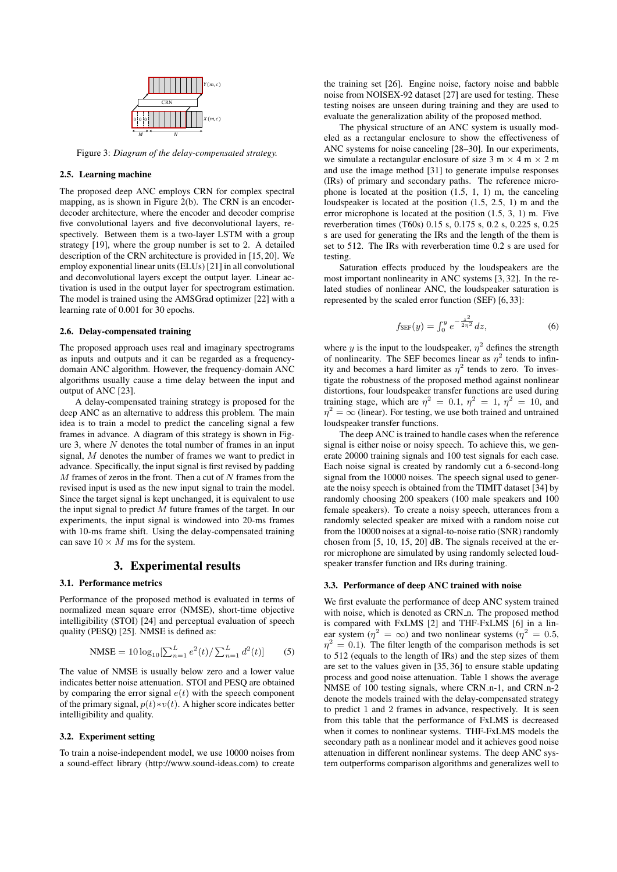

Figure 3: *Diagram of the delay-compensated strategy.*

### 2.5. Learning machine

The proposed deep ANC employs CRN for complex spectral mapping, as is shown in Figure 2(b). The CRN is an encoderdecoder architecture, where the encoder and decoder comprise five convolutional layers and five deconvolutional layers, respectively. Between them is a two-layer LSTM with a group strategy [19], where the group number is set to 2. A detailed description of the CRN architecture is provided in [15, 20]. We employ exponential linear units (ELUs) [21] in all convolutional and deconvolutional layers except the output layer. Linear activation is used in the output layer for spectrogram estimation. The model is trained using the AMSGrad optimizer [22] with a learning rate of 0.001 for 30 epochs.

#### 2.6. Delay-compensated training

The proposed approach uses real and imaginary spectrograms as inputs and outputs and it can be regarded as a frequencydomain ANC algorithm. However, the frequency-domain ANC algorithms usually cause a time delay between the input and output of ANC [23].

A delay-compensated training strategy is proposed for the deep ANC as an alternative to address this problem. The main idea is to train a model to predict the canceling signal a few frames in advance. A diagram of this strategy is shown in Figure 3, where  $N$  denotes the total number of frames in an input signal, M denotes the number of frames we want to predict in advance. Specifically, the input signal is first revised by padding  $M$  frames of zeros in the front. Then a cut of  $N$  frames from the  $\;$ revised input is used as the new input signal to train the model. Since the target signal is kept unchanged, it is equivalent to use the input signal to predict  $M$  future frames of the target. In our experiments, the input signal is windowed into 20-ms frames with 10-ms frame shift. Using the delay-compensated training can save  $10 \times M$  ms for the system.

# 3. Experimental results

### 3.1. Performance metrics

Performance of the proposed method is evaluated in terms of normalized mean square error (NMSE), short-time objective intelligibility (STOI) [24] and perceptual evaluation of speech quality (PESQ) [25]. NMSE is defined as:

$$
\text{NMSE} = 10 \log_{10} \left[ \sum_{n=1}^{L} e^2(t) / \sum_{n=1}^{L} d^2(t) \right] \tag{5}
$$

The value of NMSE is usually below zero and a lower value indicates better noise attenuation. STOI and PESQ are obtained by comparing the error signal  $e(t)$  with the speech component of the primary signal,  $p(t) * v(t)$ . A higher score indicates better intelligibility and quality.

#### 3.2. Experiment setting

To train a noise-independent model, we use 10000 noises from a sound-effect library (http://www.sound-ideas.com) to create the training set [26]. Engine noise, factory noise and babble noise from NOISEX-92 dataset [27] are used for testing. These testing noises are unseen during training and they are used to evaluate the generalization ability of the proposed method.

The physical structure of an ANC system is usually modeled as a rectangular enclosure to show the effectiveness of ANC systems for noise canceling [28–30]. In our experiments, we simulate a rectangular enclosure of size 3 m  $\times$  4 m  $\times$  2 m and use the image method [31] to generate impulse responses (IRs) of primary and secondary paths. The reference microphone is located at the position (1.5, 1, 1) m, the canceling loudspeaker is located at the position (1.5, 2.5, 1) m and the error microphone is located at the position (1.5, 3, 1) m. Five reverberation times (T60s) 0.15 s, 0.175 s, 0.2 s, 0.225 s, 0.25 s are used for generating the IRs and the length of the them is set to 512. The IRs with reverberation time 0.2 s are used for testing.

Saturation effects produced by the loudspeakers are the most important nonlinearity in ANC systems [3, 32]. In the related studies of nonlinear ANC, the loudspeaker saturation is represented by the scaled error function (SEF) [6, 33]:

$$
f_{\rm SEF}(y) = \int_0^y e^{-\frac{z^2}{2\eta^2}} dz,
$$
 (6)

where y is the input to the loudspeaker,  $\eta^2$  defines the strength of nonlinearity. The SEF becomes linear as  $\eta^2$  tends to infinity and becomes a hard limiter as  $\eta^2$  tends to zero. To investigate the robustness of the proposed method against nonlinear distortions, four loudspeaker transfer functions are used during training stage, which are  $\eta^2 = 0.1$ ,  $\eta^2 = 1$ ,  $\eta^2 = 10$ , and  $\eta^2 = \infty$  (linear). For testing, we use both trained and untrained loudspeaker transfer functions.

The deep ANC is trained to handle cases when the reference signal is either noise or noisy speech. To achieve this, we generate 20000 training signals and 100 test signals for each case. Each noise signal is created by randomly cut a 6-second-long signal from the 10000 noises. The speech signal used to generate the noisy speech is obtained from the TIMIT dataset [34] by randomly choosing 200 speakers (100 male speakers and 100 female speakers). To create a noisy speech, utterances from a randomly selected speaker are mixed with a random noise cut from the 10000 noises at a signal-to-noise ratio (SNR) randomly chosen from [5, 10, 15, 20] dB. The signals received at the error microphone are simulated by using randomly selected loudspeaker transfer function and IRs during training.

#### 3.3. Performance of deep ANC trained with noise

We first evaluate the performance of deep ANC system trained with noise, which is denoted as CRN\_n. The proposed method is compared with FxLMS [2] and THF-FxLMS [6] in a linear system ( $\eta^2 = \infty$ ) and two nonlinear systems ( $\eta^2 = 0.5$ ,  $\eta^2 = 0.1$ ). The filter length of the comparison methods is set to 512 (equals to the length of IRs) and the step sizes of them are set to the values given in [35, 36] to ensure stable updating process and good noise attenuation. Table 1 shows the average NMSE of 100 testing signals, where CRN\_n-1, and CRN\_n-2 denote the models trained with the delay-compensated strategy to predict 1 and 2 frames in advance, respectively. It is seen from this table that the performance of FxLMS is decreased when it comes to nonlinear systems. THF-FxLMS models the secondary path as a nonlinear model and it achieves good noise attenuation in different nonlinear systems. The deep ANC system outperforms comparison algorithms and generalizes well to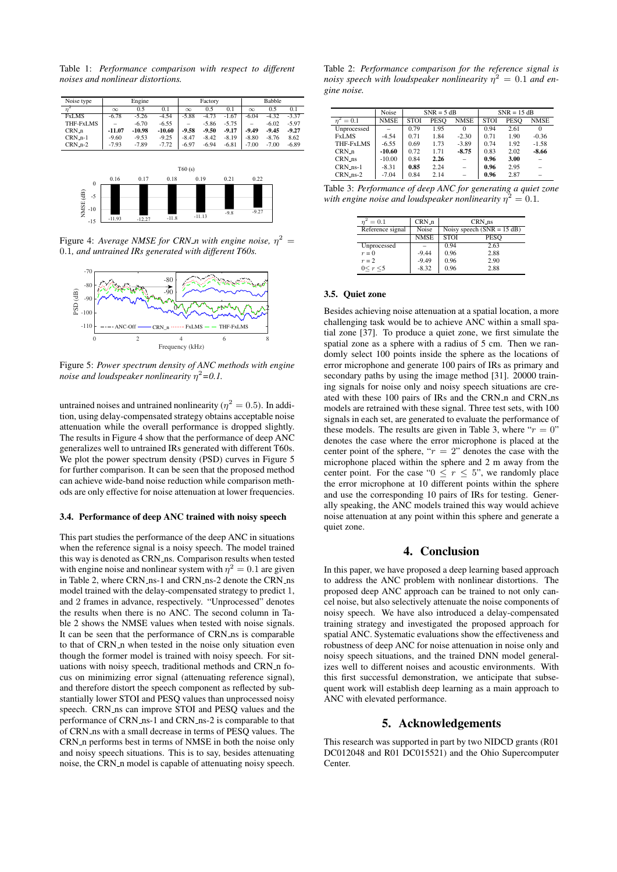Table 1: *Performance comparison with respect to different noises and nonlinear distortions.*



Figure 4: *Average NMSE for CRN\_n with engine noise*,  $\eta^2 =$ 0.1*, and untrained IRs generated with different T60s.*



Figure 5: *Power spectrum density of ANC methods with engine noise and loudspeaker nonlinearity* η <sup>2</sup>*=0.1.*

untrained noises and untrained nonlinearity ( $\eta^2=0.5$ ). In addition, using delay-compensated strategy obtains acceptable noise attenuation while the overall performance is dropped slightly. The results in Figure 4 show that the performance of deep ANC generalizes well to untrained IRs generated with different T60s. We plot the power spectrum density (PSD) curves in Figure 5 for further comparison. It can be seen that the proposed method can achieve wide-band noise reduction while comparison methods are only effective for noise attenuation at lower frequencies.

### 3.4. Performance of deep ANC trained with noisy speech

This part studies the performance of the deep ANC in situations when the reference signal is a noisy speech. The model trained this way is denoted as CRN\_ns. Comparison results when tested with engine noise and nonlinear system with  $\eta^2 = 0.1$  are given in Table 2, where CRN\_ns-1 and CRN\_ns-2 denote the CRN\_ns model trained with the delay-compensated strategy to predict 1, and 2 frames in advance, respectively. "Unprocessed" denotes the results when there is no ANC. The second column in Table 2 shows the NMSE values when tested with noise signals. It can be seen that the performance of CRN\_ns is comparable to that of CRN<sub>n</sub> when tested in the noise only situation even though the former model is trained with noisy speech. For situations with noisy speech, traditional methods and CRN\_n focus on minimizing error signal (attenuating reference signal), and therefore distort the speech component as reflected by substantially lower STOI and PESQ values than unprocessed noisy speech. CRN\_ns can improve STOI and PESO values and the performance of CRN\_ns-1 and CRN\_ns-2 is comparable to that of CRN ns with a small decrease in terms of PESQ values. The CRN\_n performs best in terms of NMSE in both the noise only and noisy speech situations. This is to say, besides attenuating noise, the CRN<sub>-n</sub> model is capable of attenuating noisy speech.

Table 2: *Performance comparison for the reference signal is noisy speech with loudspeaker nonlinearity*  $\eta^2 = 0.1$  *and engine noise.*

|                       | Noise       | $SNR = 5 dB$ |             |             | $SNR = 15 dB$ |             |                          |
|-----------------------|-------------|--------------|-------------|-------------|---------------|-------------|--------------------------|
| $n^2 = 0.1$           | <b>NMSE</b> | <b>STOI</b>  | <b>PESO</b> | <b>NMSE</b> | <b>STOI</b>   | <b>PESO</b> | <b>NMSE</b>              |
| Unprocessed           |             | 0.79         | 1.95        | $\Omega$    | 0.94          | 2.61        | 0                        |
| <b>FxLMS</b>          | $-4.54$     | 0.71         | 1.84        | $-2.30$     | 0.71          | 1.90        | $-0.36$                  |
| THF-FxLMS             | $-6.55$     | 0.69         | 1.73        | $-3.89$     | 0.74          | 1.92        | $-1.58$                  |
| $CRN_n$               | $-10.60$    | 0.72         | 1.71        | $-8.75$     | 0.83          | 2.02        | $-8.66$                  |
| CRN_ns                | $-10.00$    | 0.84         | 2.26        |             | 0.96          | 3.00        |                          |
| $CRN$ <sub>ns-1</sub> | $-8.31$     | 0.85         | 2.24        | $\equiv$    | 0.96          | 2.95        | $\overline{\phantom{a}}$ |
| $CRN_ns-2$            | $-7.04$     | 0.84         | 2.14        |             | 0.96          | 2.87        |                          |

Table 3: *Performance of deep ANC for generating a quiet zone* with engine noise and loudspeaker nonlinearity  $\eta^2=0.1.$ 

| $= 0.1$          | $CRN_n$     | CRN_ns                       |      |  |  |
|------------------|-------------|------------------------------|------|--|--|
| Reference signal | Noise       | Noisy speech $(SNR = 15 dB)$ |      |  |  |
|                  | <b>NMSE</b> | <b>STOI</b>                  | PESO |  |  |
| Unprocessed      |             | 0.94                         | 2.63 |  |  |
| $r=0$            | $-9.44$     | 0.96                         | 2.88 |  |  |
| $r=2$            | $-9.49$     | 0.96                         | 2.90 |  |  |
| 0 < r < 5        | $-8.32$     | 0.96                         | 2.88 |  |  |

### 3.5. Quiet zone

Besides achieving noise attenuation at a spatial location, a more challenging task would be to achieve ANC within a small spatial zone [37]. To produce a quiet zone, we first simulate the spatial zone as a sphere with a radius of 5 cm. Then we randomly select 100 points inside the sphere as the locations of error microphone and generate 100 pairs of IRs as primary and secondary paths by using the image method [31]. 20000 training signals for noise only and noisy speech situations are created with these 100 pairs of IRs and the CRN\_n and CRN\_ns models are retrained with these signal. Three test sets, with 100 signals in each set, are generated to evaluate the performance of these models. The results are given in Table 3, where " $r = 0$ " denotes the case where the error microphone is placed at the center point of the sphere, " $r = 2$ " denotes the case with the microphone placed within the sphere and 2 m away from the center point. For the case " $0 \le r \le 5$ ", we randomly place the error microphone at 10 different points within the sphere and use the corresponding 10 pairs of IRs for testing. Generally speaking, the ANC models trained this way would achieve noise attenuation at any point within this sphere and generate a quiet zone.

# 4. Conclusion

In this paper, we have proposed a deep learning based approach to address the ANC problem with nonlinear distortions. The proposed deep ANC approach can be trained to not only cancel noise, but also selectively attenuate the noise components of noisy speech. We have also introduced a delay-compensated training strategy and investigated the proposed approach for spatial ANC. Systematic evaluations show the effectiveness and robustness of deep ANC for noise attenuation in noise only and noisy speech situations, and the trained DNN model generalizes well to different noises and acoustic environments. With this first successful demonstration, we anticipate that subsequent work will establish deep learning as a main approach to ANC with elevated performance.

# 5. Acknowledgements

This research was supported in part by two NIDCD grants (R01 DC012048 and R01 DC015521) and the Ohio Supercomputer Center.